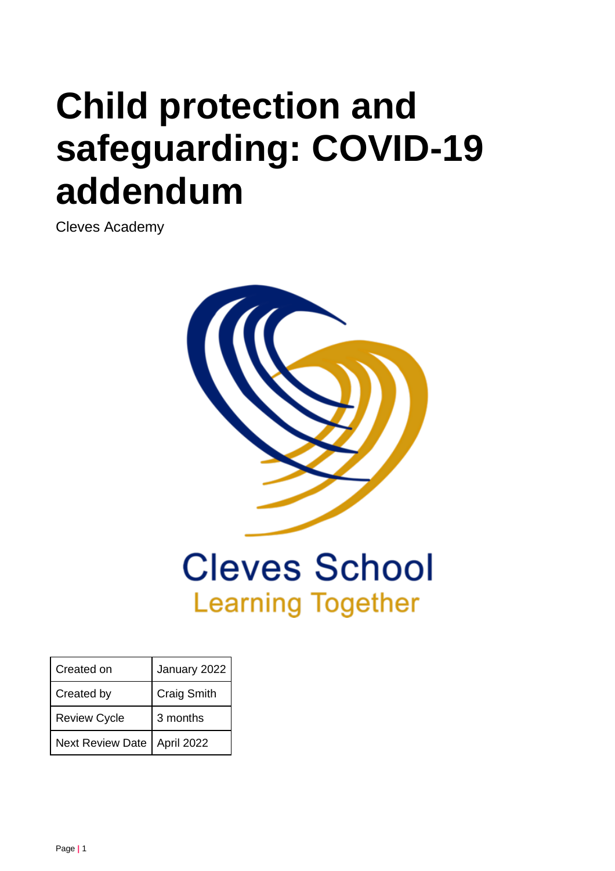# **Child protection and safeguarding: COVID-19 addendum**

Cleves Academy



## **Cleves School Learning Together**

| Created on          | January 2022       |
|---------------------|--------------------|
| Created by          | <b>Craig Smith</b> |
| <b>Review Cycle</b> | 3 months           |
| Next Review Date    | April 2022         |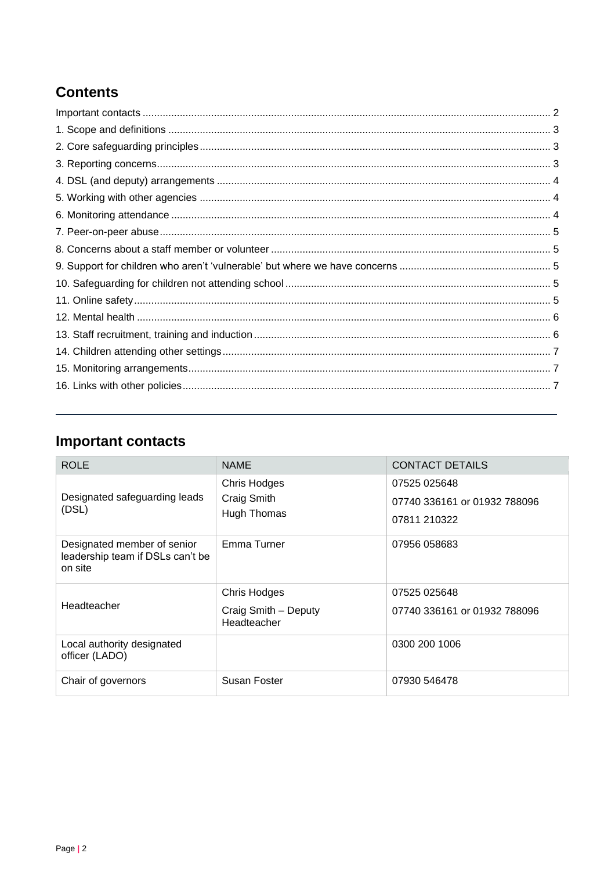## **Contents**

## <span id="page-1-0"></span>**Important contacts**

| <b>ROLE</b>                                                                | <b>NAME</b>                                                | <b>CONTACT DETAILS</b>                                       |
|----------------------------------------------------------------------------|------------------------------------------------------------|--------------------------------------------------------------|
| Designated safeguarding leads<br>(DSL)                                     | <b>Chris Hodges</b><br>Craig Smith<br>Hugh Thomas          | 07525 025648<br>07740 336161 or 01932 788096<br>07811 210322 |
| Designated member of senior<br>leadership team if DSLs can't be<br>on site | Emma Turner                                                | 07956 058683                                                 |
| Headteacher                                                                | <b>Chris Hodges</b><br>Craig Smith - Deputy<br>Headteacher | 07525 025648<br>07740 336161 or 01932 788096                 |
| Local authority designated<br>officer (LADO)                               |                                                            | 0300 200 1006                                                |
| Chair of governors                                                         | Susan Foster                                               | 07930 546478                                                 |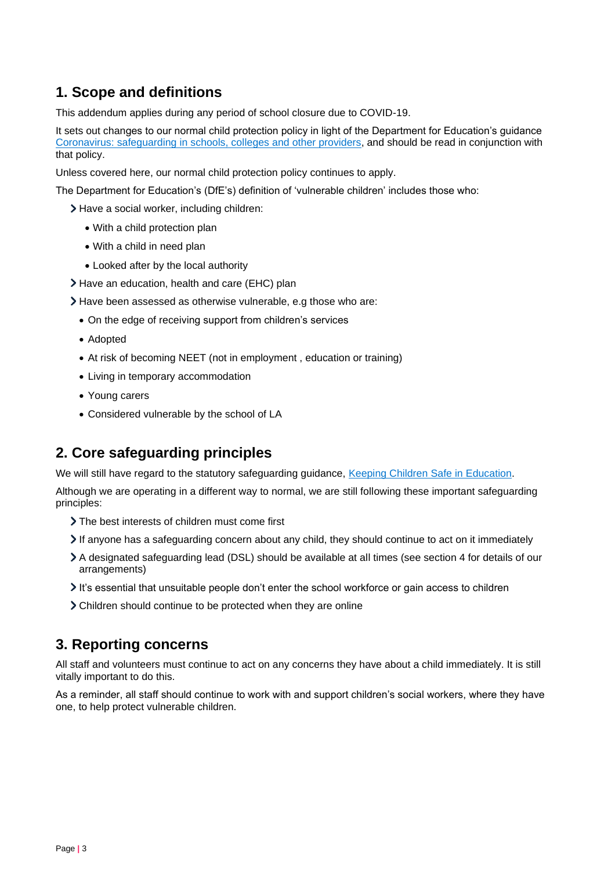## <span id="page-2-0"></span>**1. Scope and definitions**

This addendum applies during any period of school closure due to COVID-19.

It sets out changes to our normal child protection policy in light of the Department for Education's guidance [Coronavirus: safeguarding in schools, colleges and other providers,](https://www.gov.uk/government/publications/covid-19-safeguarding-in-schools-colleges-and-other-providers) and should be read in conjunction with that policy.

Unless covered here, our normal child protection policy continues to apply.

The Department for Education's (DfE's) definition of 'vulnerable children' includes those who:

> Have a social worker, including children:

- With a child protection plan
- With a child in need plan
- Looked after by the local authority
- Have an education, health and care (EHC) plan
- Have been assessed as otherwise vulnerable, e.g those who are:
	- On the edge of receiving support from children's services
	- Adopted
	- At risk of becoming NEET (not in employment , education or training)
	- Living in temporary accommodation
	- Young carers
	- Considered vulnerable by the school of LA

#### <span id="page-2-1"></span>**2. Core safeguarding principles**

We will still have regard to the statutory safeguarding guidance, [Keeping Children Safe in Education.](https://www.gov.uk/government/publications/keeping-children-safe-in-education--2)

Although we are operating in a different way to normal, we are still following these important safeguarding principles:

- The best interests of children must come first
- If anyone has a safeguarding concern about any child, they should continue to act on it immediately
- A designated safeguarding lead (DSL) should be available at all times (see section 4 for details of our arrangements)
- It's essential that unsuitable people don't enter the school workforce or gain access to children
- Children should continue to be protected when they are online

#### <span id="page-2-2"></span>**3. Reporting concerns**

All staff and volunteers must continue to act on any concerns they have about a child immediately. It is still vitally important to do this.

As a reminder, all staff should continue to work with and support children's social workers, where they have one, to help protect vulnerable children.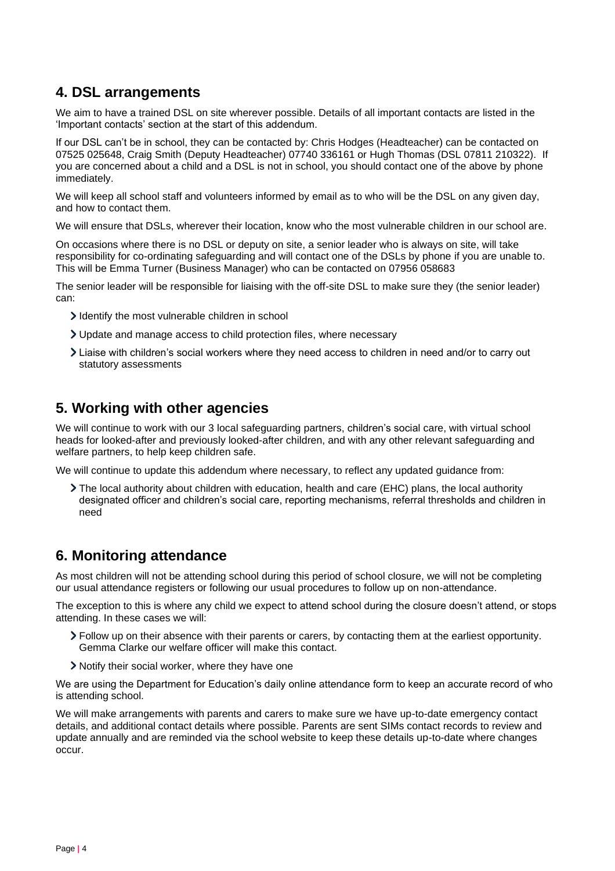### <span id="page-3-0"></span>**4. DSL arrangements**

We aim to have a trained DSL on site wherever possible. Details of all important contacts are listed in the 'Important contacts' section at the start of this addendum.

If our DSL can't be in school, they can be contacted by: Chris Hodges (Headteacher) can be contacted on 07525 025648, Craig Smith (Deputy Headteacher) 07740 336161 or Hugh Thomas (DSL 07811 210322). If you are concerned about a child and a DSL is not in school, you should contact one of the above by phone immediately.

We will keep all school staff and volunteers informed by email as to who will be the DSL on any given day, and how to contact them.

We will ensure that DSLs, wherever their location, know who the most vulnerable children in our school are.

On occasions where there is no DSL or deputy on site, a senior leader who is always on site, will take responsibility for co-ordinating safeguarding and will contact one of the DSLs by phone if you are unable to. This will be Emma Turner (Business Manager) who can be contacted on 07956 058683

The senior leader will be responsible for liaising with the off-site DSL to make sure they (the senior leader) can:

- I dentify the most vulnerable children in school
- Update and manage access to child protection files, where necessary
- Liaise with children's social workers where they need access to children in need and/or to carry out statutory assessments

#### <span id="page-3-1"></span>**5. Working with other agencies**

We will continue to work with our 3 local safeguarding partners, children's social care, with virtual school heads for looked-after and previously looked-after children, and with any other relevant safeguarding and welfare partners, to help keep children safe.

We will continue to update this addendum where necessary, to reflect any updated guidance from:

The local authority about children with education, health and care (EHC) plans, the local authority designated officer and children's social care, reporting mechanisms, referral thresholds and children in need

#### <span id="page-3-2"></span>**6. Monitoring attendance**

As most children will not be attending school during this period of school closure, we will not be completing our usual attendance registers or following our usual procedures to follow up on non-attendance.

The exception to this is where any child we expect to attend school during the closure doesn't attend, or stops attending. In these cases we will:

- Follow up on their absence with their parents or carers, by contacting them at the earliest opportunity. Gemma Clarke our welfare officer will make this contact.
- Notify their social worker, where they have one

We are using the Department for Education's daily online attendance form to keep an accurate record of who is attending school.

<span id="page-3-3"></span>We will make arrangements with parents and carers to make sure we have up-to-date emergency contact details, and additional contact details where possible. Parents are sent SIMs contact records to review and update annually and are reminded via the school website to keep these details up-to-date where changes occur.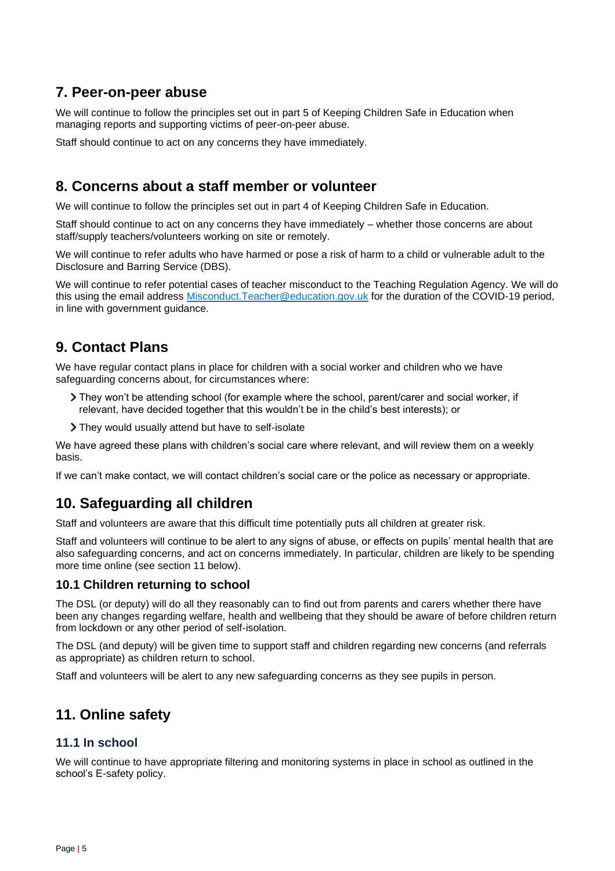## **7. Peer-on-peer abuse**

We will continue to follow the principles set out in part 5 of Keeping Children Safe in Education when managing reports and supporting victims of peer-on-peer abuse.

<span id="page-4-0"></span>Staff should continue to act on any concerns they have immediately.

## **8. Concerns about a staff member or volunteer**

We will continue to follow the principles set out in part 4 of Keeping Children Safe in Education.

Staff should continue to act on any concerns they have immediately – whether those concerns are about staff/supply teachers/volunteers working on site or remotely.

We will continue to refer adults who have harmed or pose a risk of harm to a child or vulnerable adult to the Disclosure and Barring Service (DBS).

We will continue to refer potential cases of teacher misconduct to the Teaching Regulation Agency. We will do this using the email address [Misconduct.Teacher@education.gov.uk](mailto:Misconduct.Teacher@education.gov.uk) for the duration of the COVID-19 period, in line with government guidance.

## <span id="page-4-1"></span>**9. Contact Plans**

We have regular contact plans in place for children with a social worker and children who we have safeguarding concerns about, for circumstances where:

- They won't be attending school (for example where the school, parent/carer and social worker, if relevant, have decided together that this wouldn't be in the child's best interests); or
- They would usually attend but have to self-isolate

We have agreed these plans with children's social care where relevant, and will review them on a weekly basis.

If we can't make contact, we will contact children's social care or the police as necessary or appropriate.

## <span id="page-4-2"></span>**10. Safeguarding all children**

Staff and volunteers are aware that this difficult time potentially puts all children at greater risk.

Staff and volunteers will continue to be alert to any signs of abuse, or effects on pupils' mental health that are also safeguarding concerns, and act on concerns immediately. In particular, children are likely to be spending more time online (see section 11 below).

#### **10.1 Children returning to school**

The DSL (or deputy) will do all they reasonably can to find out from parents and carers whether there have been any changes regarding welfare, health and wellbeing that they should be aware of before children return from lockdown or any other period of self-isolation.

The DSL (and deputy) will be given time to support staff and children regarding new concerns (and referrals as appropriate) as children return to school.

Staff and volunteers will be alert to any new safeguarding concerns as they see pupils in person.

## <span id="page-4-3"></span>**11. Online safety**

#### **11.1 In school**

We will continue to have appropriate filtering and monitoring systems in place in school as outlined in the school's E-safety policy.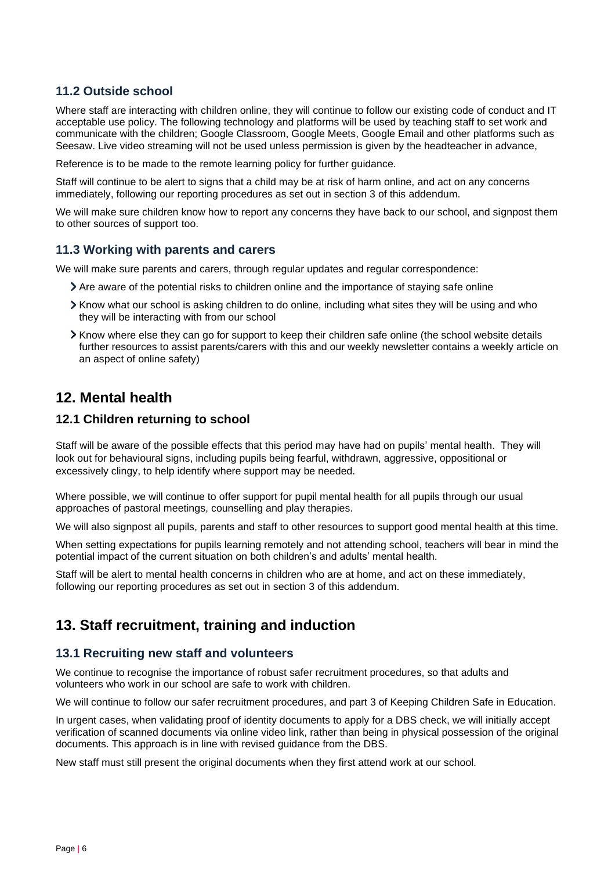#### **11.2 Outside school**

Where staff are interacting with children online, they will continue to follow our existing code of conduct and IT acceptable use policy. The following technology and platforms will be used by teaching staff to set work and communicate with the children; Google Classroom, Google Meets, Google Email and other platforms such as Seesaw. Live video streaming will not be used unless permission is given by the headteacher in advance,

Reference is to be made to the remote learning policy for further guidance.

Staff will continue to be alert to signs that a child may be at risk of harm online, and act on any concerns immediately, following our reporting procedures as set out in section 3 of this addendum.

We will make sure children know how to report any concerns they have back to our school, and signpost them to other sources of support too.

#### **11.3 Working with parents and carers**

We will make sure parents and carers, through regular updates and regular correspondence:

- Are aware of the potential risks to children online and the importance of staying safe online
- Know what our school is asking children to do online, including what sites they will be using and who they will be interacting with from our school
- Know where else they can go for support to keep their children safe online (the school website details further resources to assist parents/carers with this and our weekly newsletter contains a weekly article on an aspect of online safety)

#### <span id="page-5-0"></span>**12. Mental health**

#### **12.1 Children returning to school**

Staff will be aware of the possible effects that this period may have had on pupils' mental health. They will look out for behavioural signs, including pupils being fearful, withdrawn, aggressive, oppositional or excessively clingy, to help identify where support may be needed.

Where possible, we will continue to offer support for pupil mental health for all pupils through our usual approaches of pastoral meetings, counselling and play therapies.

We will also signpost all pupils, parents and staff to other resources to support good mental health at this time.

When setting expectations for pupils learning remotely and not attending school, teachers will bear in mind the potential impact of the current situation on both children's and adults' mental health.

Staff will be alert to mental health concerns in children who are at home, and act on these immediately, following our reporting procedures as set out in section 3 of this addendum.

## <span id="page-5-1"></span>**13. Staff recruitment, training and induction**

#### **13.1 Recruiting new staff and volunteers**

We continue to recognise the importance of robust safer recruitment procedures, so that adults and volunteers who work in our school are safe to work with children.

We will continue to follow our safer recruitment procedures, and part 3 of Keeping Children Safe in Education.

In urgent cases, when validating proof of identity documents to apply for a DBS check, we will initially accept verification of scanned documents via online video link, rather than being in physical possession of the original documents. This approach is in line with revised guidance from the DBS.

New staff must still present the original documents when they first attend work at our school.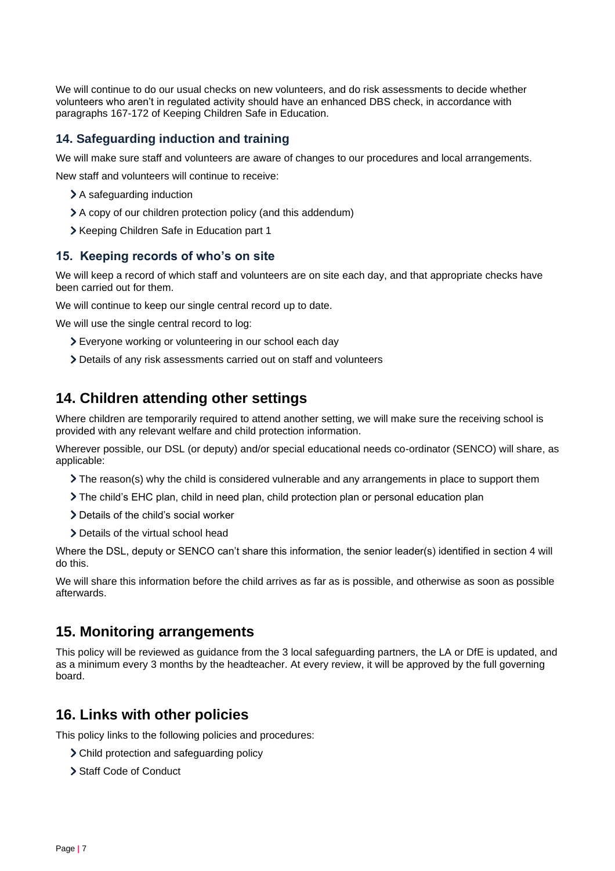We will continue to do our usual checks on new volunteers, and do risk assessments to decide whether volunteers who aren't in regulated activity should have an enhanced DBS check, in accordance with paragraphs 167-172 of Keeping Children Safe in Education.

#### **14. Safeguarding induction and training**

We will make sure staff and volunteers are aware of changes to our procedures and local arrangements.

New staff and volunteers will continue to receive:

- > A safeguarding induction
- A copy of our children protection policy (and this addendum)
- > Keeping Children Safe in Education part 1

#### **15. Keeping records of who's on site**

We will keep a record of which staff and volunteers are on site each day, and that appropriate checks have been carried out for them.

We will continue to keep our single central record up to date.

We will use the single central record to log:

- Everyone working or volunteering in our school each day
- Details of any risk assessments carried out on staff and volunteers

### <span id="page-6-0"></span>**14. Children attending other settings**

Where children are temporarily required to attend another setting, we will make sure the receiving school is provided with any relevant welfare and child protection information.

Wherever possible, our DSL (or deputy) and/or special educational needs co-ordinator (SENCO) will share, as applicable:

- $\sum$  The reason(s) why the child is considered vulnerable and any arrangements in place to support them
- The child's EHC plan, child in need plan, child protection plan or personal education plan
- > Details of the child's social worker
- > Details of the virtual school head

Where the DSL, deputy or SENCO can't share this information, the senior leader(s) identified in section 4 will do this.

We will share this information before the child arrives as far as is possible, and otherwise as soon as possible afterwards.

#### <span id="page-6-1"></span>**15. Monitoring arrangements**

This policy will be reviewed as guidance from the 3 local safeguarding partners, the LA or DfE is updated, and as a minimum every 3 months by the headteacher. At every review, it will be approved by the full governing board.

#### <span id="page-6-2"></span>**16. Links with other policies**

This policy links to the following policies and procedures:

- Child protection and safeguarding policy
- > Staff Code of Conduct